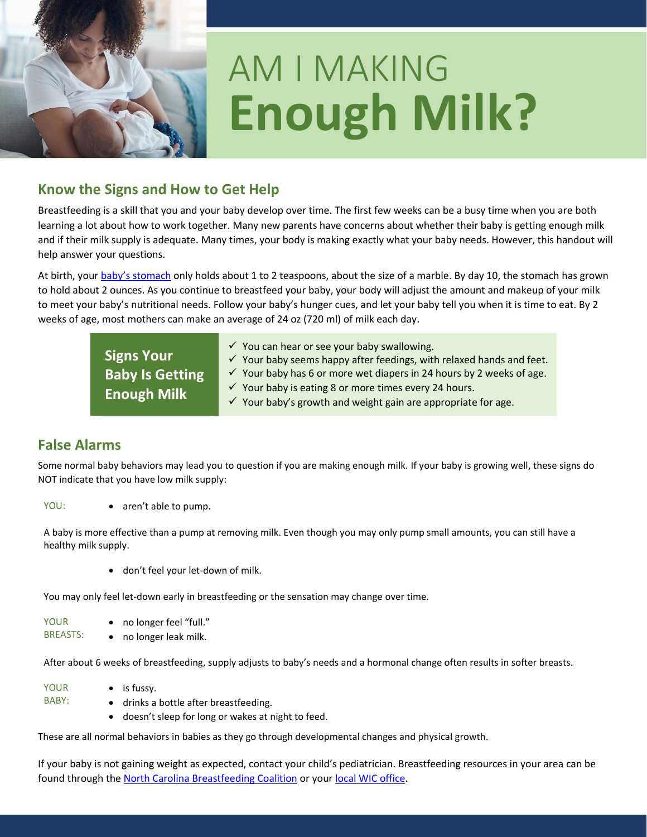

# AM I MAKING **Enough Milk?**

# **Know the Signs and How to Get Help**

Breastfeeding is a skill that you and your baby develop over time. The first few weeks can be a busy time when you are both learning a lot about how to work together. Many new parents have concerns about whether their baby is getting enough milk and if their milk supply is adequate. Many times, your body is making exactly what your baby needs. However, this handout will help answer your questions.

At birth, your [baby's stomach](https://ncnutrition.adobeconnect.com/cgbinewbornstomachsize/) only holds about 1 to 2 teaspoons, about the size of a marble. By day 10, the stomach has grown to hold about 2 ounces. As you continue to breastfeed your baby, your body will adjust the amount and makeup of your milk to meet your baby's nutritional needs. Follow your baby's hunger cues, and let your baby tell you when it is time to eat. By 2 weeks of age, most mothers can make an average of 24 oz (720 ml) of milk each day.

| <b>Signs Your</b><br><b>Baby Is Getting</b> | $\checkmark$ You can hear or see your baby swallowing.<br>$\checkmark$ Your baby seems happy after feedings, with relaxed hands and feet.<br>$\checkmark$ Your baby has 6 or more wet diapers in 24 hours by 2 weeks of age. |
|---------------------------------------------|------------------------------------------------------------------------------------------------------------------------------------------------------------------------------------------------------------------------------|
| <b>Enough Milk</b>                          | $\checkmark$ Your baby is eating 8 or more times every 24 hours.<br>$\checkmark$ Your baby's growth and weight gain are appropriate for age.                                                                                 |

## **False Alarms**

Some normal baby behaviors may lead you to question if you are making enough milk. If your baby is growing well, these signs do NOT indicate that you have low milk supply:

YOU: • aren't able to pump.

A baby is more effective than a pump at removing milk. Even though you may only pump small amounts, you can still have a healthy milk supply.

• don't feel your let-down of milk.

You may only feel let-down early in breastfeeding or the sensation may change over time.

YOUR BREASTS: • no longer feel "full." • no longer leak milk.

After about 6 weeks of breastfeeding, supply adjusts to baby's needs and a hormonal change often results in softer breasts.

YOUR BABY: • is fussy. • drinks a bottle after breastfeeding. doesn't sleep for long or wakes at night to feed.

These are all normal behaviors in babies as they go through developmental changes and physical growth.

If your baby is not gaining weight as expected, contact your child's pediatrician. Breastfeeding resources in your area can be found through the [North Carolina Breastfeeding Coalition](https://www.ncbfc.org/perinatal-region-map) or your [local WIC office.](https://www.nutritionnc.com/wic/directory.htm)